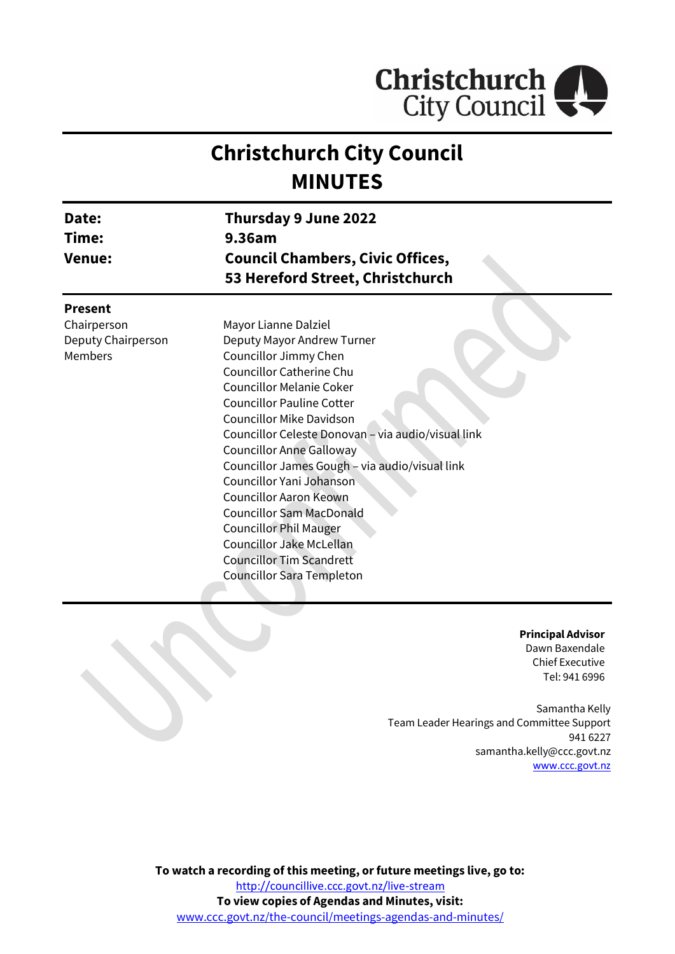

# **Christchurch City Council MINUTES**

| Date:<br>Time:<br><b>Venue:</b> | Thursday 9 June 2022<br>9.36am<br><b>Council Chambers, Civic Offices,</b><br>53 Hereford Street, Christchurch |
|---------------------------------|---------------------------------------------------------------------------------------------------------------|
| <b>Present</b>                  |                                                                                                               |
| Chairperson                     | Mayor Lianne Dalziel                                                                                          |
| Deputy Chairperson              | Deputy Mayor Andrew Turner                                                                                    |
| Members                         | Councillor Jimmy Chen                                                                                         |
|                                 | Councillor Catherine Chu                                                                                      |
|                                 | <b>Councillor Melanie Coker</b>                                                                               |
|                                 | <b>Councillor Pauline Cotter</b>                                                                              |
|                                 | <b>Councillor Mike Davidson</b>                                                                               |
|                                 | Councillor Celeste Donovan - via audio/visual link                                                            |
|                                 | <b>Councillor Anne Galloway</b>                                                                               |
|                                 | Councillor James Gough - via audio/visual link                                                                |
|                                 | Councillor Yani Johanson                                                                                      |
|                                 | <b>Councillor Aaron Keown</b>                                                                                 |
|                                 | <b>Councillor Sam MacDonald</b>                                                                               |
|                                 | <b>Councillor Phil Mauger</b>                                                                                 |
|                                 | Councillor Jake McLellan                                                                                      |
|                                 | <b>Councillor Tim Scandrett</b>                                                                               |
|                                 | <b>Councillor Sara Templeton</b>                                                                              |
|                                 |                                                                                                               |

**Principal Advisor** Dawn Baxendale Chief Executive Tel: 941 6996

Samantha Kelly Team Leader Hearings and Committee Support 941 6227 samantha.kelly@ccc.govt.nz [www.ccc.govt.nz](http://www.ccc.govt.nz/)

**To watch a recording of this meeting, or future meetings live, go to:** <http://councillive.ccc.govt.nz/live-stream> **To view copies of Agendas and Minutes, visit:** [www.ccc.govt.nz/the-council/meetings-agendas-and-minutes/](https://www.ccc.govt.nz/the-council/meetings-agendas-and-minutes/)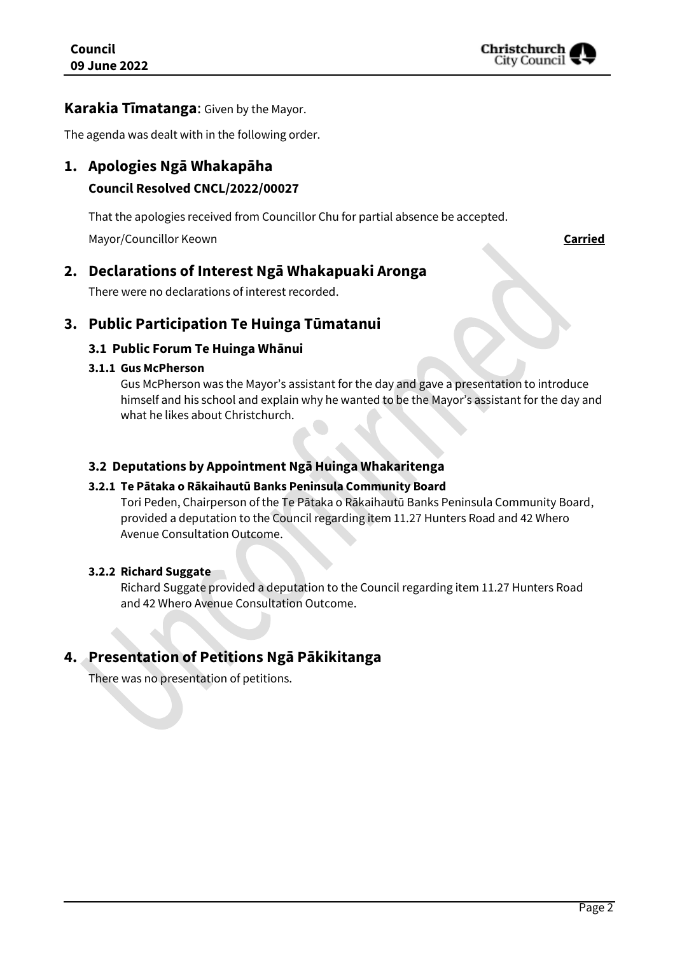

#### **Karakia Tīmatanga**: Given by the Mayor.

The agenda was dealt with in the following order.

### **1. Apologies Ngā Whakapāha**

#### **Council Resolved CNCL/2022/00027**

That the apologies received from Councillor Chu for partial absence be accepted.

Mayor/Councillor Keown **Carried**

### **2. Declarations of Interest Ngā Whakapuaki Aronga**

There were no declarations of interest recorded.

### **3. Public Participation Te Huinga Tūmatanui**

#### **3.1 Public Forum Te Huinga Whānui**

#### **3.1.1 Gus McPherson**

Gus McPherson was the Mayor's assistant for the day and gave a presentation to introduce himself and his school and explain why he wanted to be the Mayor's assistant for the day and what he likes about Christchurch.

#### **3.2 Deputations by Appointment Ngā Huinga Whakaritenga**

#### **3.2.1 Te Pātaka o Rākaihautū Banks Peninsula Community Board**

Tori Peden, Chairperson of the Te Pātaka o Rākaihautū Banks Peninsula Community Board, provided a deputation to the Council regarding item 11.27 Hunters Road and 42 Whero Avenue Consultation Outcome.

#### **3.2.2 Richard Suggate**

Richard Suggate provided a deputation to the Council regarding item 11.27 Hunters Road and 42 Whero Avenue Consultation Outcome.

## **4. Presentation of Petitions Ngā Pākikitanga**

There was no presentation of petitions.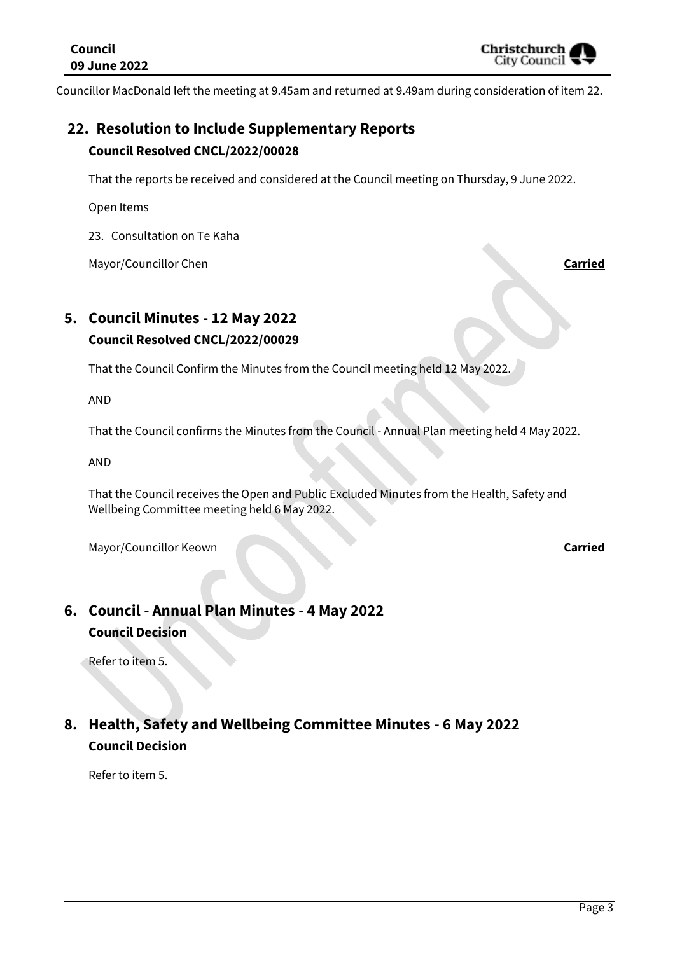Councillor MacDonald left the meeting at 9.45am and returned at 9.49am during consideration of item 22.

## **22. Resolution to Include Supplementary Reports Council Resolved CNCL/2022/00028**

That the reports be received and considered at the Council meeting on Thursday, 9 June 2022.

Open Items

23. Consultation on Te Kaha

Mayor/Councillor Chen **Carried**

## **5. Council Minutes - 12 May 2022 Council Resolved CNCL/2022/00029**

That the Council Confirm the Minutes from the Council meeting held 12 May 2022.

AND

That the Council confirms the Minutes from the Council - Annual Plan meeting held 4 May 2022.

AND

That the Council receives the Open and Public Excluded Minutes from the Health, Safety and Wellbeing Committee meeting held 6 May 2022.

Mayor/Councillor Keown **Carried** 

## **6. Council - Annual Plan Minutes - 4 May 2022 Council Decision**

Refer to item 5.

## **8. Health, Safety and Wellbeing Committee Minutes - 6 May 2022 Council Decision**

Refer to item 5.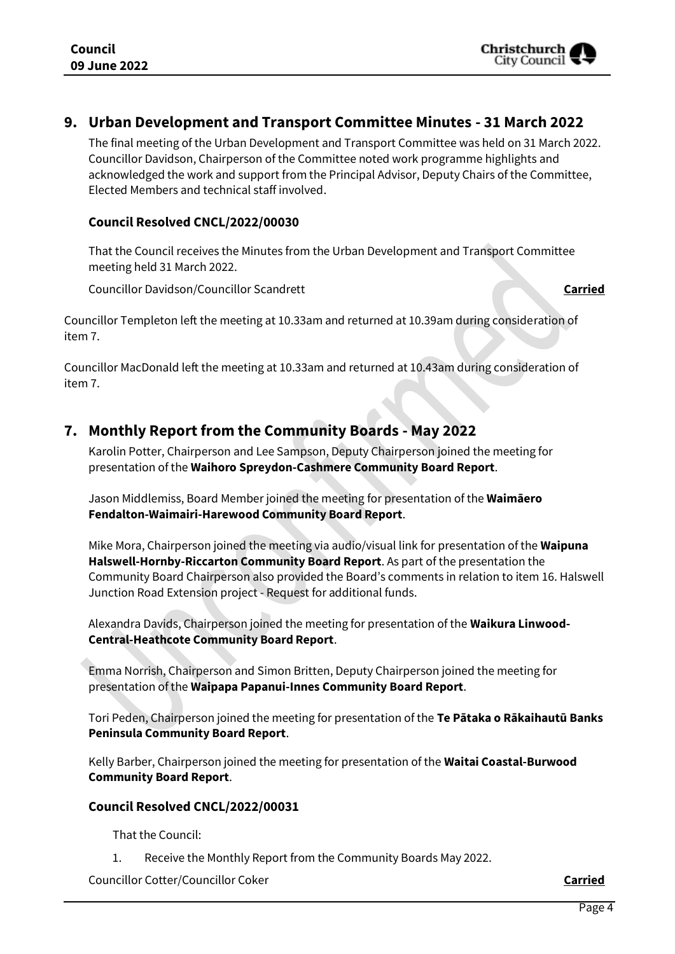#### **9. Urban Development and Transport Committee Minutes - 31 March 2022**

The final meeting of the Urban Development and Transport Committee was held on 31 March 2022. Councillor Davidson, Chairperson of the Committee noted work programme highlights and acknowledged the work and support from the Principal Advisor, Deputy Chairs of the Committee, Elected Members and technical staff involved.

#### **Council Resolved CNCL/2022/00030**

That the Council receives the Minutes from the Urban Development and Transport Committee meeting held 31 March 2022.

Councillor Davidson/Councillor Scandrett **Carried**

Councillor Templeton left the meeting at 10.33am and returned at 10.39am during consideration of item 7.

Councillor MacDonald left the meeting at 10.33am and returned at 10.43am during consideration of item 7.

### **7. Monthly Report from the Community Boards - May 2022**

Karolin Potter, Chairperson and Lee Sampson, Deputy Chairperson joined the meeting for presentation of the **Waihoro Spreydon-Cashmere Community Board Report**.

Jason Middlemiss, Board Member joined the meeting for presentation of the **Waimāero Fendalton-Waimairi-Harewood Community Board Report**.

Mike Mora, Chairperson joined the meeting via audio/visual link for presentation of the **Waipuna Halswell-Hornby-Riccarton Community Board Report**. As part of the presentation the Community Board Chairperson also provided the Board's comments in relation to item 16. Halswell Junction Road Extension project - Request for additional funds.

Alexandra Davids, Chairperson joined the meeting for presentation of the **Waikura Linwood-Central-Heathcote Community Board Report**.

Emma Norrish, Chairperson and Simon Britten, Deputy Chairperson joined the meeting for presentation of the **Waipapa Papanui-Innes Community Board Report**.

Tori Peden, Chairperson joined the meeting for presentation of the **Te Pātaka o Rākaihautū Banks Peninsula Community Board Report**.

Kelly Barber, Chairperson joined the meeting for presentation of the **Waitai Coastal-Burwood Community Board Report**.

#### **Council Resolved CNCL/2022/00031**

That the Council:

1. Receive the Monthly Report from the Community Boards May 2022.

Councillor Cotter/Councillor Coker **Carried**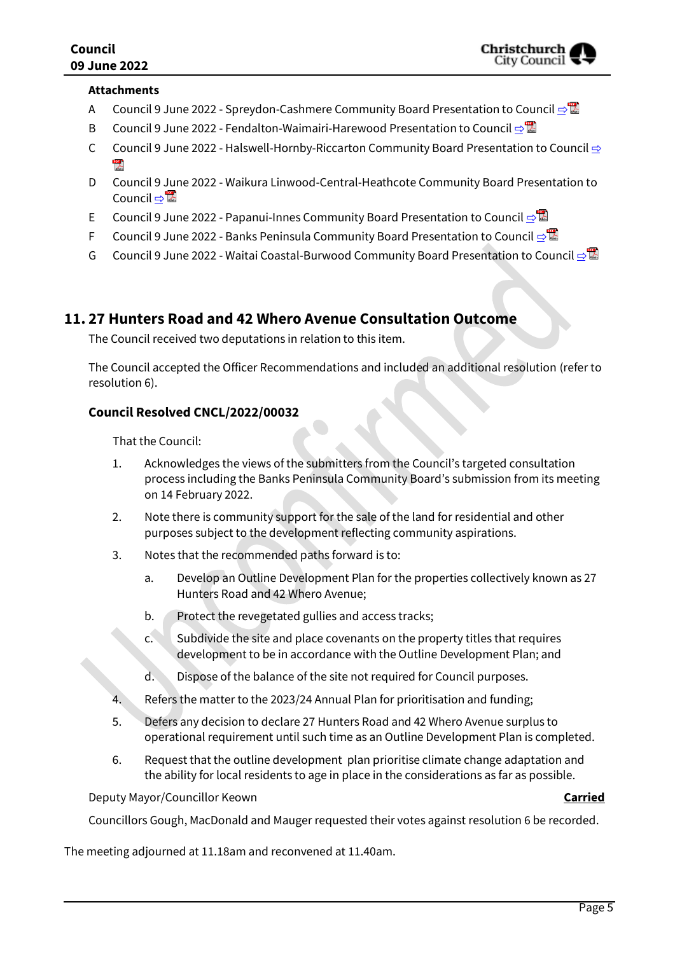#### **Attachments**

- A Council 9 June 2022 Spreydon-Cashmere Community Board Presentation to Council ⇒
- B Council 9 June 2022 Fendalton-Waimairi-Harewood Presentation to Council [⇨](../../../RedirectToInvalidFileName.aspx?FileName=CNCL_20220609_MAT_7425.PDF#PAGE=9)
- C Council 9 June 2022 Halswell-Hornby-Riccarton Community Board Presentation to Council [⇨](../../../RedirectToInvalidFileName.aspx?FileName=CNCL_20220609_MAT_7425.PDF#PAGE=15)  $\mathbb{Z}$
- D Council 9 June 2022 Waikura Linwood-Central-Heathcote Community Board Presentation to Council ⇒
- E Council 9 June 2022 Papanui-Innes Community Board Presentation to Council **[⇨](../../../RedirectToInvalidFileName.aspx?FileName=CNCL_20220609_MAT_7425.PDF#PAGE=28)</u>**
- F Council 9 June 2022 Banks Peninsula Community Board Presentation to Council **[⇨](../../../RedirectToInvalidFileName.aspx?FileName=CNCL_20220609_MAT_7425.PDF#PAGE=37)</u>**
- G Council 9 June 2022 Waitai Coastal-Burwood Community Board Presentation to Council [⇨](../../../RedirectToInvalidFileName.aspx?FileName=CNCL_20220609_MAT_7425.PDF#PAGE=43)

#### **11. 27 Hunters Road and 42 Whero Avenue Consultation Outcome**

The Council received two deputations in relation to this item.

The Council accepted the Officer Recommendations and included an additional resolution (refer to resolution 6).

#### **Council Resolved CNCL/2022/00032**

That the Council:

- 1. Acknowledges the views of the submitters from the Council's targeted consultation process including the Banks Peninsula Community Board's submission from its meeting on 14 February 2022.
- 2. Note there is community support for the sale of the land for residential and other purposes subject to the development reflecting community aspirations.
- 3. Notes that the recommended paths forward is to:
	- a. Develop an Outline Development Plan for the properties collectively known as 27 Hunters Road and 42 Whero Avenue;
	- b. Protect the revegetated gullies and access tracks;
	- c. Subdivide the site and place covenants on the property titles that requires development to be in accordance with the Outline Development Plan; and
	- d. Dispose of the balance of the site not required for Council purposes.
- 4. Refers the matter to the 2023/24 Annual Plan for prioritisation and funding;
- 5. Defers any decision to declare 27 Hunters Road and 42 Whero Avenue surplus to operational requirement until such time as an Outline Development Plan is completed.
- 6. Request that the outline development plan prioritise climate change adaptation and the ability for local residents to age in place in the considerations as far as possible.

Deputy Mayor/Councillor Keown **Carried**

Councillors Gough, MacDonald and Mauger requested their votes against resolution 6 be recorded.

The meeting adjourned at 11.18am and reconvened at 11.40am.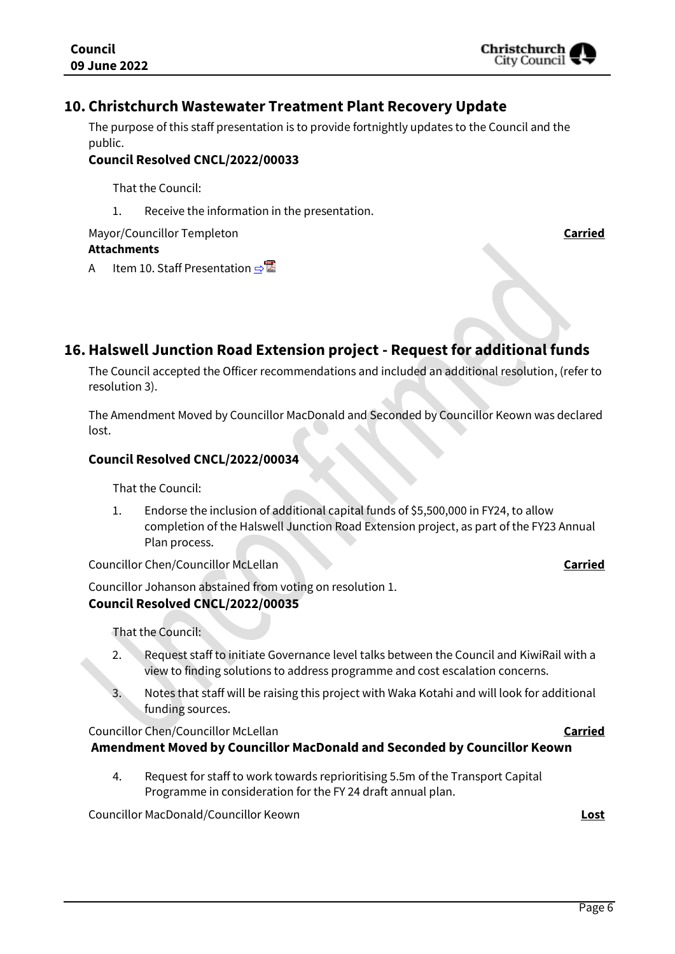#### **10. Christchurch Wastewater Treatment Plant Recovery Update**

The purpose of this staff presentation is to provide fortnightly updates to the Council and the public.

#### **Council Resolved CNCL/2022/00033**

That the Council:

1. Receive the information in the presentation.

Mayor/Councillor Templeton **Carried Attachments**

A Item 10. Staff Presentation っ

**16.Halswell Junction Road Extension project - Request for additional funds**

The Council accepted the Officer recommendations and included an additional resolution, (refer to resolution 3).

The Amendment Moved by Councillor MacDonald and Seconded by Councillor Keown was declared lost.

#### **Council Resolved CNCL/2022/00034**

That the Council:

1. Endorse the inclusion of additional capital funds of \$5,500,000 in FY24, to allow completion of the Halswell Junction Road Extension project, as part of the FY23 Annual Plan process.

Councillor Chen/Councillor McLellan **Carried**

Councillor Johanson abstained from voting on resolution 1. **Council Resolved CNCL/2022/00035**

That the Council:

- 2. Request staff to initiate Governance level talks between the Council and KiwiRail with a view to finding solutions to address programme and cost escalation concerns.
- 3. Notes that staff will be raising this project with Waka Kotahi and will look for additional funding sources.

#### Councillor Chen/Councillor McLellan **Carried Amendment Moved by Councillor MacDonald and Seconded by Councillor Keown**

4. Request for staff to work towards reprioritising 5.5m of the Transport Capital Programme in consideration for the FY 24 draft annual plan.

Councillor MacDonald/Councillor Keown **Lost**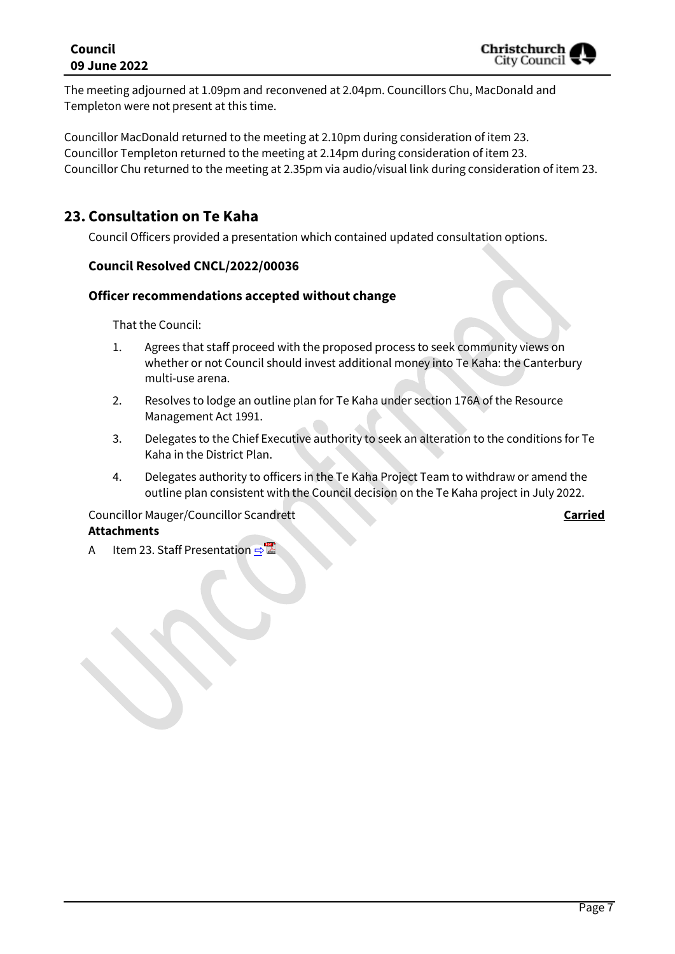#### **Council 09 June 2022**

The meeting adjourned at 1.09pm and reconvened at 2.04pm. Councillors Chu, MacDonald and Templeton were not present at this time.

Councillor MacDonald returned to the meeting at 2.10pm during consideration of item 23. Councillor Templeton returned to the meeting at 2.14pm during consideration of item 23. Councillor Chu returned to the meeting at 2.35pm via audio/visual link during consideration of item 23.

## **23. Consultation on Te Kaha**

Council Officers provided a presentation which contained updated consultation options.

#### **Council Resolved CNCL/2022/00036**

#### **Officer recommendations accepted without change**

That the Council:

- 1. Agrees that staff proceed with the proposed process to seek community views on whether or not Council should invest additional money into Te Kaha: the Canterbury multi-use arena.
- 2. Resolves to lodge an outline plan for Te Kaha under section 176A of the Resource Management Act 1991.
- 3. Delegates to the Chief Executive authority to seek an alteration to the conditions for Te Kaha in the District Plan.
- 4. Delegates authority to officers in the Te Kaha Project Team to withdraw or amend the outline plan consistent with the Council decision on the Te Kaha project in July 2022.

#### Councillor Mauger/Councillor Scandrett **Carried**

#### **Attachments**

A Item 23. Staff Presentation **[⇨](../../../RedirectToInvalidFileName.aspx?FileName=CNCL_20220609_MAT_7425.PDF#PAGE=74)</u>**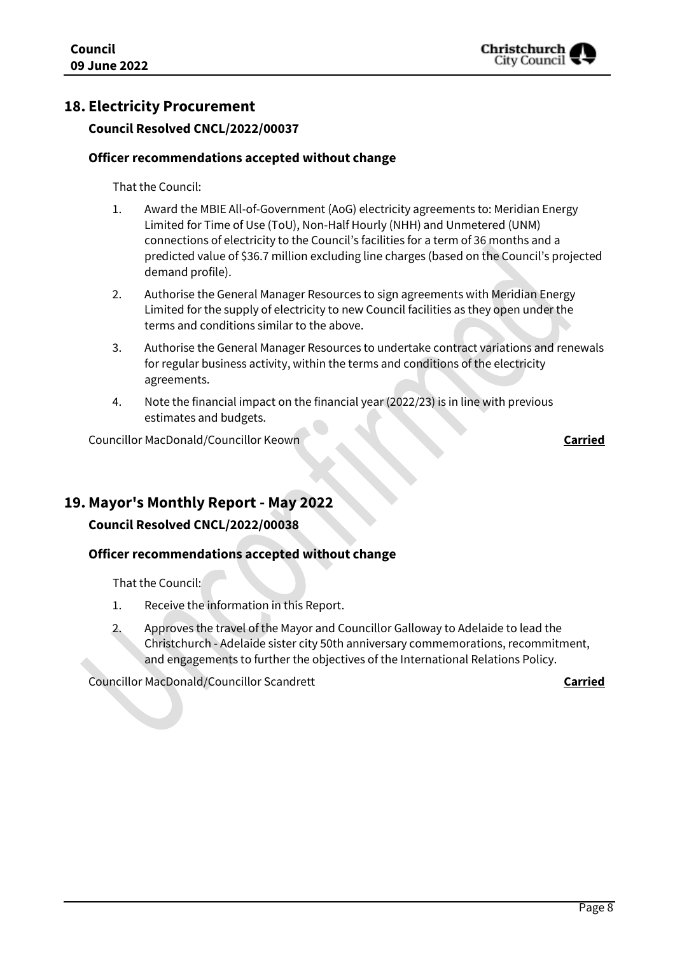

### **18. Electricity Procurement**

#### **Council Resolved CNCL/2022/00037**

#### **Officer recommendations accepted without change**

That the Council:

- 1. Award the MBIE All-of-Government (AoG) electricity agreements to: Meridian Energy Limited for Time of Use (ToU), Non-Half Hourly (NHH) and Unmetered (UNM) connections of electricity to the Council's facilities for a term of 36 months and a predicted value of \$36.7 million excluding line charges (based on the Council's projected demand profile).
- 2. Authorise the General Manager Resources to sign agreements with Meridian Energy Limited for the supply of electricity to new Council facilities as they open under the terms and conditions similar to the above.
- 3. Authorise the General Manager Resources to undertake contract variations and renewals for regular business activity, within the terms and conditions of the electricity agreements.
- 4. Note the financial impact on the financial year (2022/23) is in line with previous estimates and budgets.

Councillor MacDonald/Councillor Keown **Carried**

#### **19. Mayor's Monthly Report - May 2022**

#### **Council Resolved CNCL/2022/00038**

#### **Officer recommendations accepted without change**

That the Council:

- 1. Receive the information in this Report.
- 2. Approves the travel of the Mayor and Councillor Galloway to Adelaide to lead the Christchurch - Adelaide sister city 50th anniversary commemorations, recommitment, and engagements to further the objectives of the International Relations Policy.

Councillor MacDonald/Councillor Scandrett **Carried**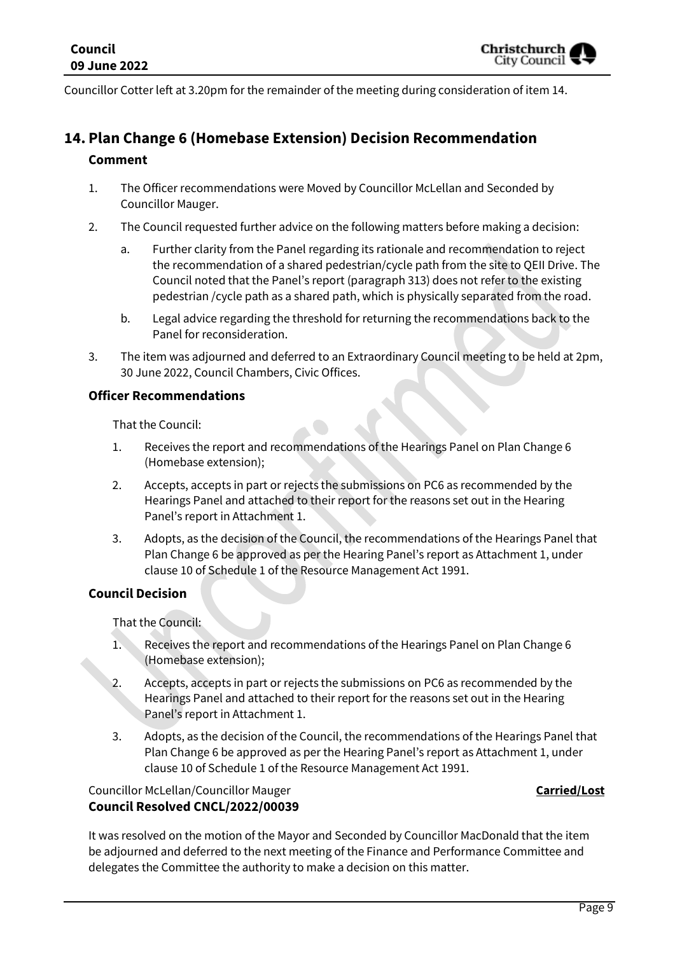Councillor Cotter left at 3.20pm for the remainder of the meeting during consideration of item 14.

## **14. Plan Change 6 (Homebase Extension) Decision Recommendation Comment**

- 1. The Officer recommendations were Moved by Councillor McLellan and Seconded by Councillor Mauger.
- 2. The Council requested further advice on the following matters before making a decision:
	- a. Further clarity from the Panel regarding its rationale and recommendation to reject the recommendation of a shared pedestrian/cycle path from the site to QEII Drive. The Council noted that the Panel's report (paragraph 313) does not refer to the existing pedestrian /cycle path as a shared path, which is physically separated from the road.
	- b. Legal advice regarding the threshold for returning the recommendations back to the Panel for reconsideration.
- 3. The item was adjourned and deferred to an Extraordinary Council meeting to be held at 2pm, 30 June 2022, Council Chambers, Civic Offices.

#### **Officer Recommendations**

That the Council:

- 1. Receives the report and recommendations of the Hearings Panel on Plan Change 6 (Homebase extension);
- 2. Accepts, accepts in part or rejects the submissions on PC6 as recommended by the Hearings Panel and attached to their report for the reasons set out in the Hearing Panel's report in Attachment 1.
- 3. Adopts, as the decision of the Council, the recommendations of the Hearings Panel that Plan Change 6 be approved as per the Hearing Panel's report as Attachment 1, under clause 10 of Schedule 1 of the Resource Management Act 1991.

#### **Council Decision**

That the Council:

- 1. Receives the report and recommendations of the Hearings Panel on Plan Change 6 (Homebase extension);
- 2. Accepts, accepts in part or rejects the submissions on PC6 as recommended by the Hearings Panel and attached to their report for the reasons set out in the Hearing Panel's report in Attachment 1.
- 3. Adopts, as the decision of the Council, the recommendations of the Hearings Panel that Plan Change 6 be approved as per the Hearing Panel's report as Attachment 1, under clause 10 of Schedule 1 of the Resource Management Act 1991.

#### Councillor McLellan/Councillor Mauger **Carried/Lost Council Resolved CNCL/2022/00039**

It was resolved on the motion of the Mayor and Seconded by Councillor MacDonald that the item be adjourned and deferred to the next meeting of the Finance and Performance Committee and delegates the Committee the authority to make a decision on this matter.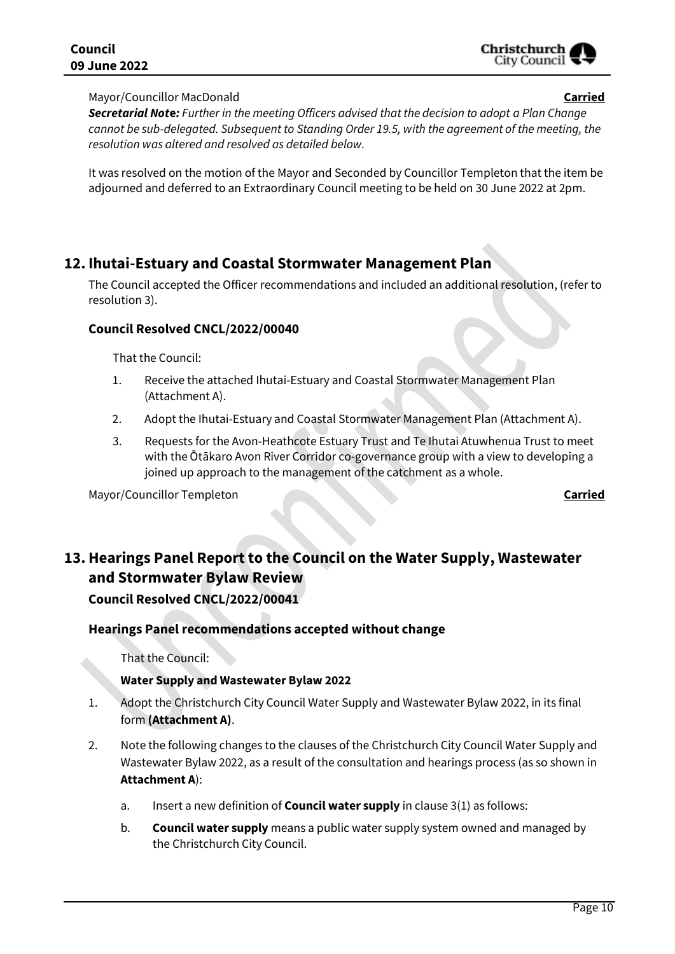

#### Mayor/Councillor MacDonald **Carried**

*Secretarial Not***e***: Further in the meeting Officers advised that the decision to adopt a Plan Change cannot be sub-delegated. Subsequent to Standing Order 19.5, with the agreement of the meeting, the resolution was altered and resolved as detailed below.*

It was resolved on the motion of the Mayor and Seconded by Councillor Templeton that the item be adjourned and deferred to an Extraordinary Council meeting to be held on 30 June 2022 at 2pm.

## **12. Ihutai-Estuary and Coastal Stormwater Management Plan**

The Council accepted the Officer recommendations and included an additional resolution, (refer to resolution 3).

#### **Council Resolved CNCL/2022/00040**

That the Council:

- 1. Receive the attached Ihutai-Estuary and Coastal Stormwater Management Plan (Attachment A).
- 2. Adopt the Ihutai-Estuary and Coastal Stormwater Management Plan (Attachment A).
- 3. Requests for the Avon-Heathcote Estuary Trust and Te Ihutai Atuwhenua Trust to meet with the Ōtākaro Avon River Corridor co-governance group with a view to developing a joined up approach to the management of the catchment as a whole.

Mayor/Councillor Templeton **Carried**

## **13.Hearings Panel Report to the Council on the Water Supply, Wastewater and Stormwater Bylaw Review**

**Council Resolved CNCL/2022/00041**

#### **Hearings Panel recommendations accepted without change**

That the Council:

#### **Water Supply and Wastewater Bylaw 2022**

- 1. Adopt the Christchurch City Council Water Supply and Wastewater Bylaw 2022, in its final form **(Attachment A)**.
- 2. Note the following changes to the clauses of the Christchurch City Council Water Supply and Wastewater Bylaw 2022, as a result of the consultation and hearings process (as so shown in **Attachment A**):
	- a. Insert a new definition of **Council water supply** in clause 3(1) as follows:
	- b. **Council water supply** means a public water supply system owned and managed by the Christchurch City Council.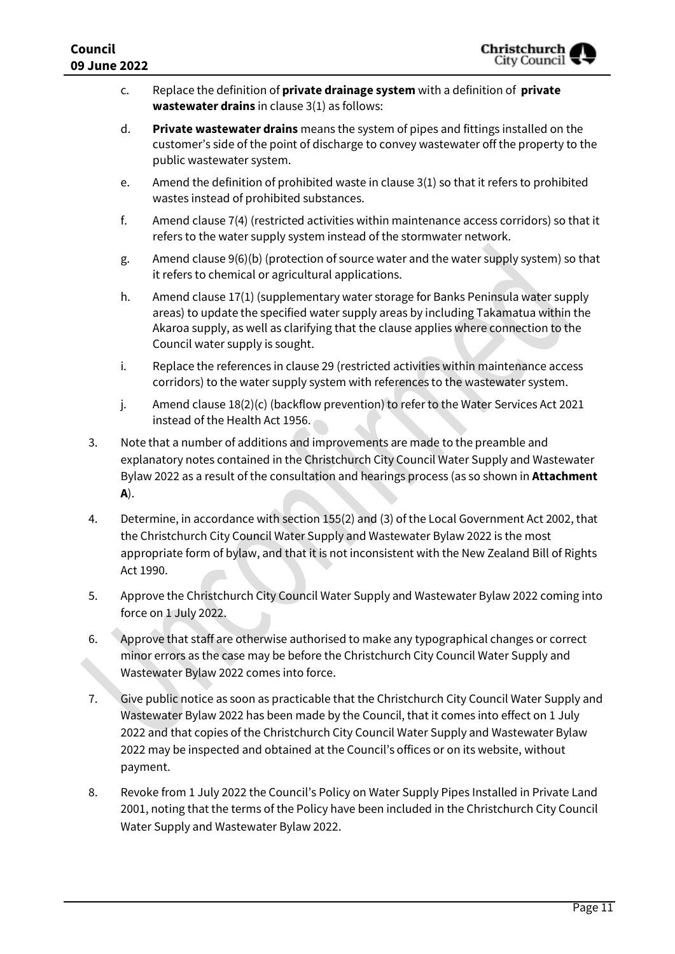| Council<br>09 June 2022 |                                                                                                                                                                                                                                                                                                                                                                                           | Christchurch<br>City Council $\blacktriangledown$                                                                                                                                                                                                                                                  |
|-------------------------|-------------------------------------------------------------------------------------------------------------------------------------------------------------------------------------------------------------------------------------------------------------------------------------------------------------------------------------------------------------------------------------------|----------------------------------------------------------------------------------------------------------------------------------------------------------------------------------------------------------------------------------------------------------------------------------------------------|
|                         | c.                                                                                                                                                                                                                                                                                                                                                                                        | Replace the definition of private drainage system with a definition of private<br>wastewater drains in clause $3(1)$ as follows:                                                                                                                                                                   |
|                         | d.                                                                                                                                                                                                                                                                                                                                                                                        | Private wastewater drains means the system of pipes and fittings installed on the<br>customer's side of the point of discharge to convey wastewater off the property to the<br>public wastewater system.                                                                                           |
|                         | e.                                                                                                                                                                                                                                                                                                                                                                                        | Amend the definition of prohibited waste in clause 3(1) so that it refers to prohibited<br>wastes instead of prohibited substances.                                                                                                                                                                |
|                         | f.                                                                                                                                                                                                                                                                                                                                                                                        | Amend clause 7(4) (restricted activities within maintenance access corridors) so that it<br>refers to the water supply system instead of the stormwater network.                                                                                                                                   |
|                         | g.                                                                                                                                                                                                                                                                                                                                                                                        | Amend clause 9(6)(b) (protection of source water and the water supply system) so that<br>it refers to chemical or agricultural applications.                                                                                                                                                       |
|                         | h.                                                                                                                                                                                                                                                                                                                                                                                        | Amend clause 17(1) (supplementary water storage for Banks Peninsula water supply<br>areas) to update the specified water supply areas by including Takamatua within the<br>Akaroa supply, as well as clarifying that the clause applies where connection to the<br>Council water supply is sought. |
|                         | i.                                                                                                                                                                                                                                                                                                                                                                                        | Replace the references in clause 29 (restricted activities within maintenance access<br>corridors) to the water supply system with references to the wastewater system.                                                                                                                            |
|                         | j.                                                                                                                                                                                                                                                                                                                                                                                        | Amend clause 18(2)(c) (backflow prevention) to refer to the Water Services Act 2021<br>instead of the Health Act 1956.                                                                                                                                                                             |
| 3.                      | Note that a number of additions and improvements are made to the preamble and<br>explanatory notes contained in the Christchurch City Council Water Supply and Wastewater<br>Bylaw 2022 as a result of the consultation and hearings process (as so shown in <b>Attachment</b><br>A).                                                                                                     |                                                                                                                                                                                                                                                                                                    |
| 4.                      | Determine, in accordance with section 155(2) and (3) of the Local Government Act 2002, that<br>the Christchurch City Council Water Supply and Wastewater Bylaw 2022 is the most<br>appropriate form of bylaw, and that it is not inconsistent with the New Zealand Bill of Rights<br>Act 1990.                                                                                            |                                                                                                                                                                                                                                                                                                    |
| 5.                      | Approve the Christchurch City Council Water Supply and Wastewater Bylaw 2022 coming into<br>force on 1 July 2022.                                                                                                                                                                                                                                                                         |                                                                                                                                                                                                                                                                                                    |
| 6.                      | Approve that staff are otherwise authorised to make any typographical changes or correct<br>minor errors as the case may be before the Christchurch City Council Water Supply and<br>Wastewater Bylaw 2022 comes into force.                                                                                                                                                              |                                                                                                                                                                                                                                                                                                    |
| 7.                      | Give public notice as soon as practicable that the Christchurch City Council Water Supply and<br>Wastewater Bylaw 2022 has been made by the Council, that it comes into effect on 1 July<br>2022 and that copies of the Christchurch City Council Water Supply and Wastewater Bylaw<br>2022 may be inspected and obtained at the Council's offices or on its website, without<br>payment. |                                                                                                                                                                                                                                                                                                    |

8. Revoke from 1 July 2022 the Council's Policy on Water Supply Pipes Installed in Private Land 2001, noting that the terms of the Policy have been included in the Christchurch City Council Water Supply and Wastewater Bylaw 2022.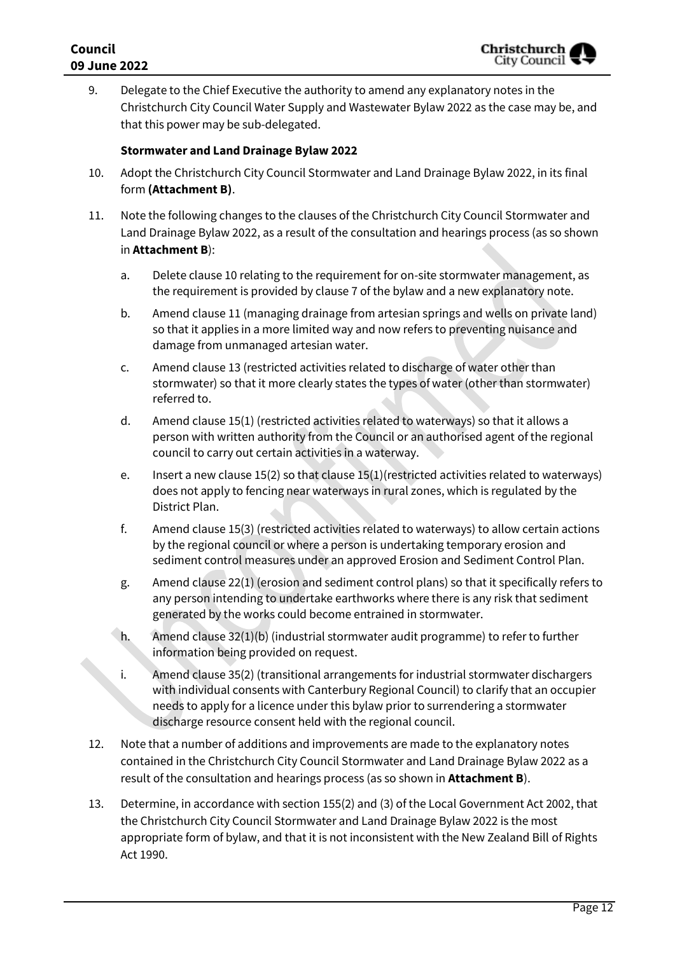9. Delegate to the Chief Executive the authority to amend any explanatory notes in the Christchurch City Council Water Supply and Wastewater Bylaw 2022 as the case may be, and that this power may be sub-delegated.

#### **Stormwater and Land Drainage Bylaw 2022**

- 10. Adopt the Christchurch City Council Stormwater and Land Drainage Bylaw 2022, in its final form **(Attachment B)**.
- 11. Note the following changes to the clauses of the Christchurch City Council Stormwater and Land Drainage Bylaw 2022, as a result of the consultation and hearings process (as so shown in **Attachment B**):
	- a. Delete clause 10 relating to the requirement for on-site stormwater management, as the requirement is provided by clause 7 of the bylaw and a new explanatory note.
	- b. Amend clause 11 (managing drainage from artesian springs and wells on private land) so that it applies in a more limited way and now refers to preventing nuisance and damage from unmanaged artesian water.
	- c. Amend clause 13 (restricted activities related to discharge of water other than stormwater) so that it more clearly states the types of water (other than stormwater) referred to.
	- d. Amend clause 15(1) (restricted activities related to waterways) so that it allows a person with written authority from the Council or an authorised agent of the regional council to carry out certain activities in a waterway.
	- e. Insert a new clause 15(2) so that clause 15(1)(restricted activities related to waterways) does not apply to fencing near waterways in rural zones, which is regulated by the District Plan.
	- f. Amend clause 15(3) (restricted activities related to waterways) to allow certain actions by the regional council or where a person is undertaking temporary erosion and sediment control measures under an approved Erosion and Sediment Control Plan.
	- g. Amend clause 22(1) (erosion and sediment control plans) so that it specifically refers to any person intending to undertake earthworks where there is any risk that sediment generated by the works could become entrained in stormwater.
	- h. Amend clause 32(1)(b) (industrial stormwater audit programme) to refer to further information being provided on request.
	- i. Amend clause 35(2) (transitional arrangements for industrial stormwater dischargers with individual consents with Canterbury Regional Council) to clarify that an occupier needs to apply for a licence under this bylaw prior to surrendering a stormwater discharge resource consent held with the regional council.
- 12. Note that a number of additions and improvements are made to the explanatory notes contained in the Christchurch City Council Stormwater and Land Drainage Bylaw 2022 as a result of the consultation and hearings process (as so shown in **Attachment B**).
- 13. Determine, in accordance with section 155(2) and (3) of the Local Government Act 2002, that the Christchurch City Council Stormwater and Land Drainage Bylaw 2022 is the most appropriate form of bylaw, and that it is not inconsistent with the New Zealand Bill of Rights Act 1990.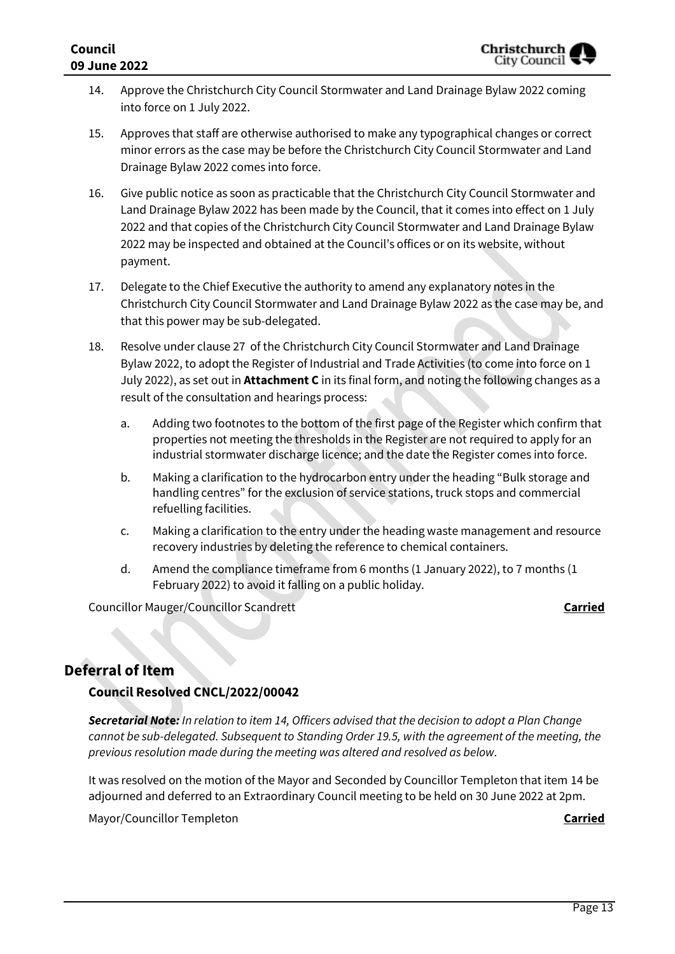- 14. Approve the Christchurch City Council Stormwater and Land Drainage Bylaw 2022 coming into force on 1 July 2022.
- 15. Approves that staff are otherwise authorised to make any typographical changes or correct minor errors as the case may be before the Christchurch City Council Stormwater and Land Drainage Bylaw 2022 comes into force.
- 16. Give public notice as soon as practicable that the Christchurch City Council Stormwater and Land Drainage Bylaw 2022 has been made by the Council, that it comes into effect on 1 July 2022 and that copies of the Christchurch City Council Stormwater and Land Drainage Bylaw 2022 may be inspected and obtained at the Council's offices or on its website, without payment.
- 17. Delegate to the Chief Executive the authority to amend any explanatory notes in the Christchurch City Council Stormwater and Land Drainage Bylaw 2022 as the case may be, and that this power may be sub-delegated.
- 18. Resolve under clause 27 of the Christchurch City Council Stormwater and Land Drainage Bylaw 2022, to adopt the Register of Industrial and Trade Activities (to come into force on 1 July 2022), as set out in **Attachment C** in its final form, and noting the following changes as a result of the consultation and hearings process:
	- a. Adding two footnotes to the bottom of the first page of the Register which confirm that properties not meeting the thresholds in the Register are not required to apply for an industrial stormwater discharge licence; and the date the Register comes into force.
	- b. Making a clarification to the hydrocarbon entry under the heading "Bulk storage and handling centres" for the exclusion of service stations, truck stops and commercial refuelling facilities.
	- c. Making a clarification to the entry under the heading waste management and resource recovery industries by deleting the reference to chemical containers.
	- d. Amend the compliance timeframe from 6 months (1 January 2022), to 7 months (1 February 2022) to avoid it falling on a public holiday.

Councillor Mauger/Councillor Scandrett **Carried** Councillor Mauger/Councillor Scandrett

## **Deferral of Item**

#### **Council Resolved CNCL/2022/00042**

*Secretarial Not***e***: In relation to item 14, Officers advised that the decision to adopt a Plan Change cannot be sub-delegated. Subsequent to Standing Order 19.5, with the agreement of the meeting, the previous resolution made during the meeting was altered and resolved as below.*

It was resolved on the motion of the Mayor and Seconded by Councillor Templeton that item 14 be adjourned and deferred to an Extraordinary Council meeting to be held on 30 June 2022 at 2pm.

Mayor/Councillor Templeton **Carried**